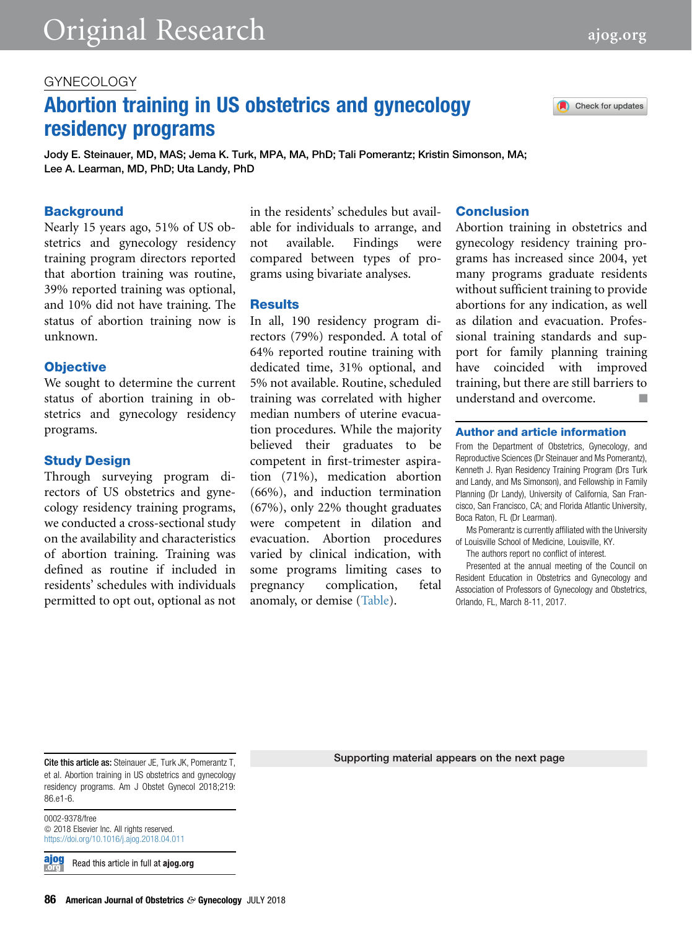# GYNECOLOGY

# Abortion training in US obstetrics and gynecology residency programs

Jody E. Steinauer, MD, MAS; Jema K. Turk, MPA, MA, PhD; Tali Pomerantz; Kristin Simonson, MA; Lee A. Learman, MD, PhD; Uta Landy, PhD

#### **Background**

Nearly 15 years ago, 51% of US obstetrics and gynecology residency training program directors reported that abortion training was routine, 39% reported training was optional, and 10% did not have training. The status of abortion training now is unknown.

#### **Objective**

We sought to determine the current status of abortion training in obstetrics and gynecology residency programs.

#### Study Design

Through surveying program directors of US obstetrics and gynecology residency training programs, we conducted a cross-sectional study on the availability and characteristics of abortion training. Training was defined as routine if included in residents' schedules with individuals permitted to opt out, optional as not

in the residents' schedules but available for individuals to arrange, and not available. Findings were compared between types of programs using bivariate analyses.

#### **Results**

In all, 190 residency program directors (79%) responded. A total of 64% reported routine training with dedicated time, 31% optional, and 5% not available. Routine, scheduled training was correlated with higher median numbers of uterine evacuation procedures. While the majority believed their graduates to be competent in first-trimester aspiration (71%), medication abortion (66%), and induction termination (67%), only 22% thought graduates were competent in dilation and evacuation. Abortion procedures varied by clinical indication, with some programs limiting cases to pregnancy complication, fetal anomaly, or demise ([Table\)](#page-1-0).

### **Conclusion**

Abortion training in obstetrics and gynecology residency training programs has increased since 2004, yet many programs graduate residents without sufficient training to provide abortions for any indication, as well as dilation and evacuation. Professional training standards and support for family planning training have coincided with improved training, but there are still barriers to understand and overcome.  $\Box$ 

#### Author and article information

From the Department of Obstetrics, Gynecology, and Reproductive Sciences (Dr Steinauer and Ms Pomerantz), Kenneth J. Ryan Residency Training Program (Drs Turk and Landy, and Ms Simonson), and Fellowship in Family Planning (Dr Landy), University of California, San Francisco, San Francisco, CA; and Florida Atlantic University, Boca Raton, FL (Dr Learman).

Ms Pomerantz is currently affiliated with the University of Louisville School of Medicine, Louisville, KY.

The authors report no conflict of interest.

Presented at the annual meeting of the Council on Resident Education in Obstetrics and Gynecology and Association of Professors of Gynecology and Obstetrics, Orlando, FL, March 8-11, 2017.

Cite this article as: Steinauer JE, Turk JK, Pomerantz T, et al. Abortion training in US obstetrics and gynecology residency programs. Am J Obstet Gynecol 2018;219: 86.e1-6.

0002-9378/free  $©$  2018 Elsevier Inc. All rights reserved. <https://doi.org/10.1016/j.ajog.2018.04.011>

<u>ajog</u> Read this article in full at ajog.org Supporting material appears on the next page

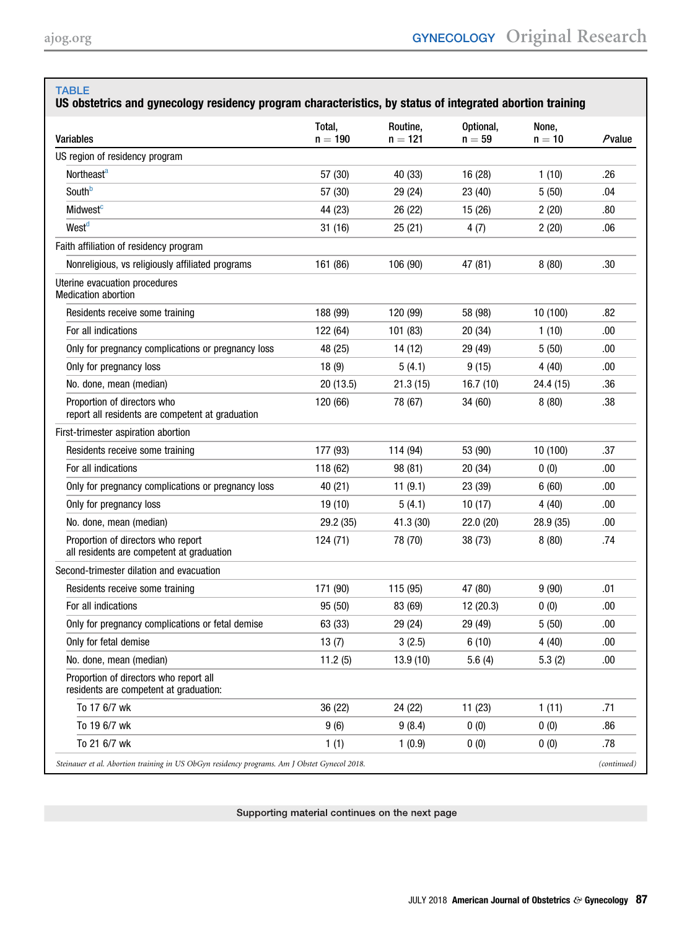#### <span id="page-1-0"></span>TABLE

## US obstetrics and gynecology residency program characteristics, by status of integrated abortion training

| <b>Variables</b>                                                                 | Total,<br>$n = 190$ | Routine,<br>$n = 121$ | Optional,<br>$n = 59$ | None,<br>$n = 10$ | Pvalue |
|----------------------------------------------------------------------------------|---------------------|-----------------------|-----------------------|-------------------|--------|
| US region of residency program                                                   |                     |                       |                       |                   |        |
| Northeast <sup>a</sup>                                                           | 57 (30)             | 40 (33)               | 16 (28)               | 1(10)             | .26    |
| Southb                                                                           | 57 (30)             | 29 (24)               | 23 (40)               | 5(50)             | .04    |
| Midwest <sup>c</sup>                                                             | 44 (23)             | 26 (22)               | 15 (26)               | 2(20)             | .80    |
| West <sup>d</sup>                                                                | 31 (16)             | 25(21)                | 4(7)                  | 2(20)             | .06    |
| Faith affiliation of residency program                                           |                     |                       |                       |                   |        |
| Nonreligious, vs religiously affiliated programs                                 | 161 (86)            | 106 (90)              | 47 (81)               | 8(80)             | .30    |
| Uterine evacuation procedures<br><b>Medication abortion</b>                      |                     |                       |                       |                   |        |
| Residents receive some training                                                  | 188 (99)            | 120 (99)              | 58 (98)               | 10 (100)          | .82    |
| For all indications                                                              | 122 (64)            | 101 (83)              | 20(34)                | 1(10)             | .00    |
| Only for pregnancy complications or pregnancy loss                               | 48 (25)             | 14 (12)               | 29 (49)               | 5(50)             | .00    |
| Only for pregnancy loss                                                          | 18(9)               | 5(4.1)                | 9(15)                 | 4(40)             | .00    |
| No. done, mean (median)                                                          | 20(13.5)            | 21.3(15)              | 16.7(10)              | 24.4 (15)         | .36    |
| Proportion of directors who<br>report all residents are competent at graduation  | 120 (66)            | 78 (67)               | 34 (60)               | 8(80)             | .38    |
| First-trimester aspiration abortion                                              |                     |                       |                       |                   |        |
| Residents receive some training                                                  | 177 (93)            | 114 (94)              | 53 (90)               | 10 (100)          | .37    |
| For all indications                                                              | 118 (62)            | 98 (81)               | 20(34)                | 0(0)              | .00    |
| Only for pregnancy complications or pregnancy loss                               | 40 (21)             | 11(9.1)               | 23 (39)               | 6(60)             | .00    |
| Only for pregnancy loss                                                          | 19 (10)             | 5(4.1)                | 10(17)                | 4 (40)            | .00    |
| No. done, mean (median)                                                          | 29.2 (35)           | 41.3 (30)             | 22.0 (20)             | 28.9 (35)         | .00    |
| Proportion of directors who report<br>all residents are competent at graduation  | 124 (71)            | 78 (70)               | 38 (73)               | 8(80)             | .74    |
| Second-trimester dilation and evacuation                                         |                     |                       |                       |                   |        |
| Residents receive some training                                                  | 171 (90)            | 115 (95)              | 47 (80)               | 9(90)             | .01    |
| For all indications                                                              | 95 (50)             | 83 (69)               | 12 (20.3)             | 0(0)              | .00    |
| Only for pregnancy complications or fetal demise                                 | 63 (33)             | 29 (24)               | 29 (49)               | 5(50)             | .00    |
| Only for fetal demise                                                            | 13(7)               | 3(2.5)                | 6(10)                 | 4(40)             | .00    |
| No. done, mean (median)                                                          | 11.2(5)             | 13.9 (10)             | 5.6(4)                | 5.3(2)            | .00    |
| Proportion of directors who report all<br>residents are competent at graduation: |                     |                       |                       |                   |        |
| To 17 6/7 wk                                                                     | 36 (22)             | 24 (22)               | 11(23)                | 1(11)             | .71    |
| To 19 6/7 wk                                                                     | 9(6)                | 9(8.4)                | 0(0)                  | 0(0)              | .86    |
| To 21 6/7 wk                                                                     | 1(1)                | 1(0.9)                | 0(0)                  | 0(0)              | .78    |

Supporting material continues on the next page